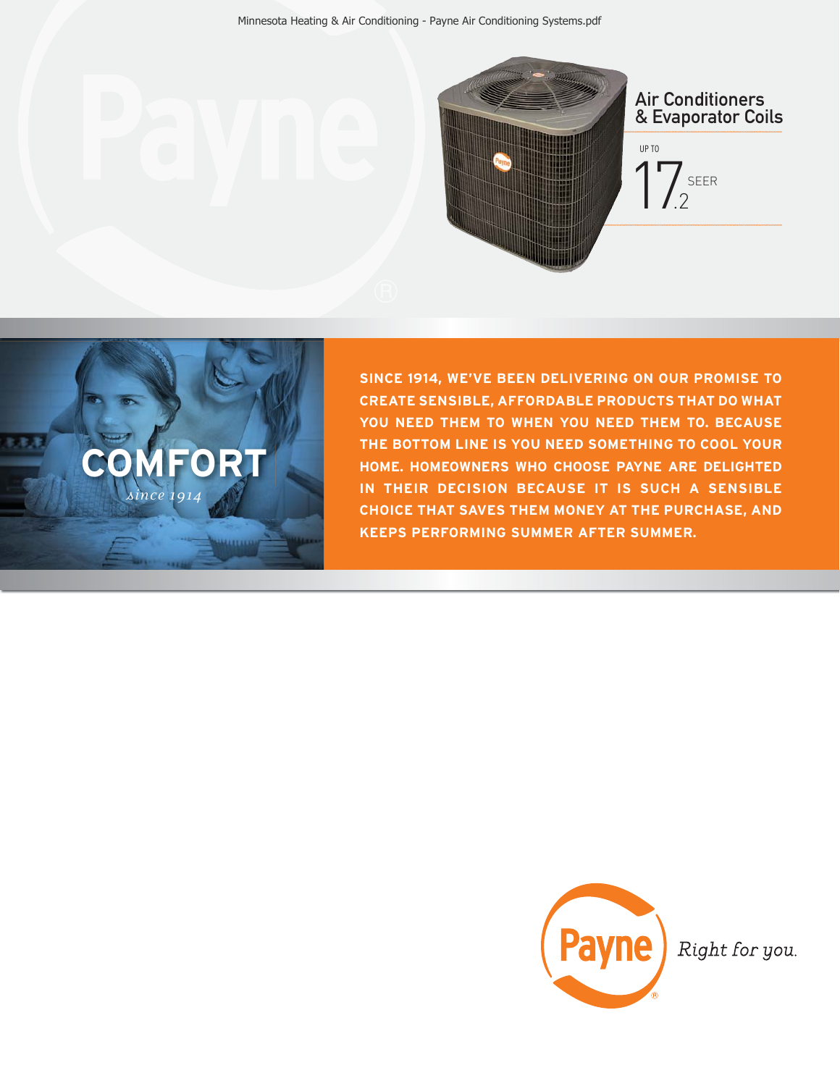



**SINCE 1914, WE'VE BEEN DELIVERING ON OUR PROMISE TO CREATE SENSIBLE, AFFORDABLE PRODUCTS THAT DO WHAT YOU NEED THEM TO WHEN YOU NEED THEM TO. BECAUSE THE BOTTOM LINE IS YOU NEED SOMETHING TO COOL YOUR HOME. HOMEOWNERS WHO CHOOSE PAYNE ARE DELIGHTED IN THEIR DECISION BECAUSE IT IS SUCH A SENSIBLE CHOICE THAT SAVES THEM MONEY AT THE PURCHASE, AND KEEPS PERFORMING SUMMER AFTER SUMMER.**



Right for you.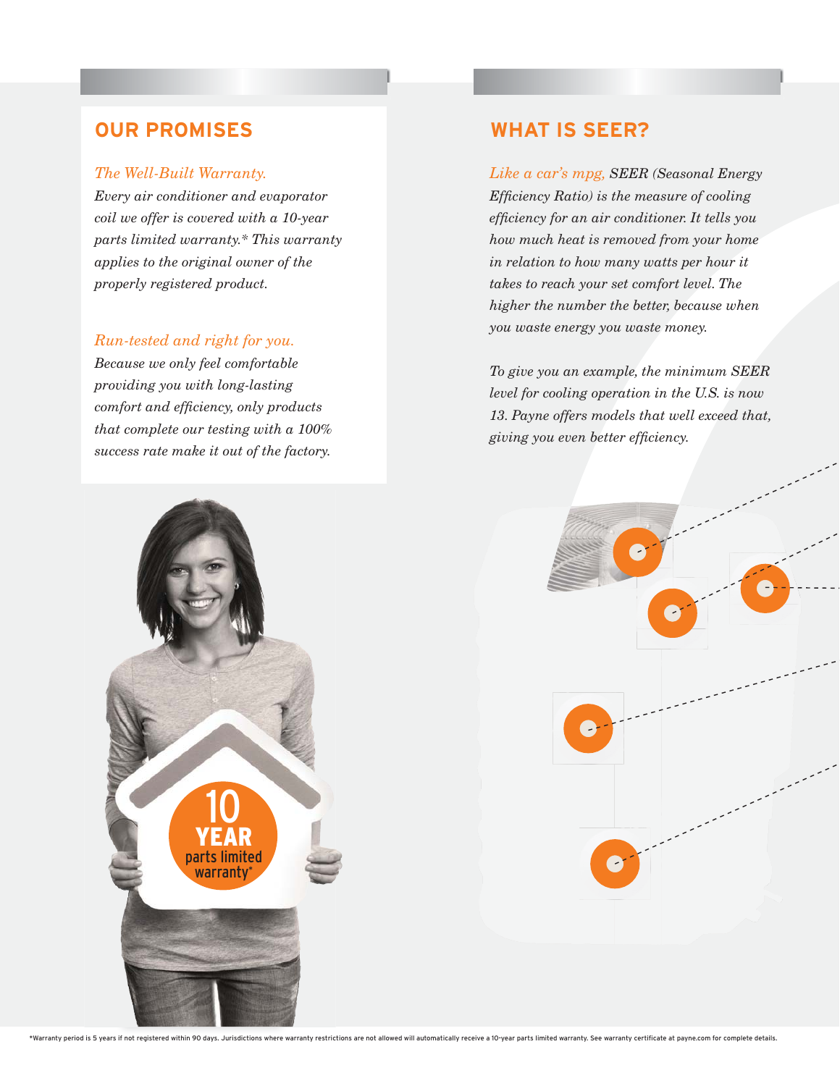## **OUR PROMISES WHAT IS SEER?**

### *The Well-Built Warranty.*

*Every air conditioner and evaporator coil we offer is covered with a 10-year parts limited warranty.\* This warranty applies to the original owner of the properly registered product.*

## *Run-tested and right for you.*

*Because we only feel comfortable providing you with long-lasting comfort and efficiency, only products that complete our testing with a 100% success rate make it out of the factory.* 

*Like a car's mpg, SEER (Seasonal Energy Efficiency Ratio) is the measure of cooling efficiency for an air conditioner. It tells you how much heat is removed from your home in relation to how many watts per hour it takes to reach your set comfort level. The higher the number the better, because when you waste energy you waste money.*

*To give you an example, the minimum SEER level for cooling operation in the U.S. is now 13. Payne offers models that well exceed that, giving you even better efficiency.*



\*Warranty period is 5 years if not registered within 90 days, Jurisdictions where warranty restrictions are not allowed will automatically receive a 10-year parts limited warranty. See warranty certificate at payne.com for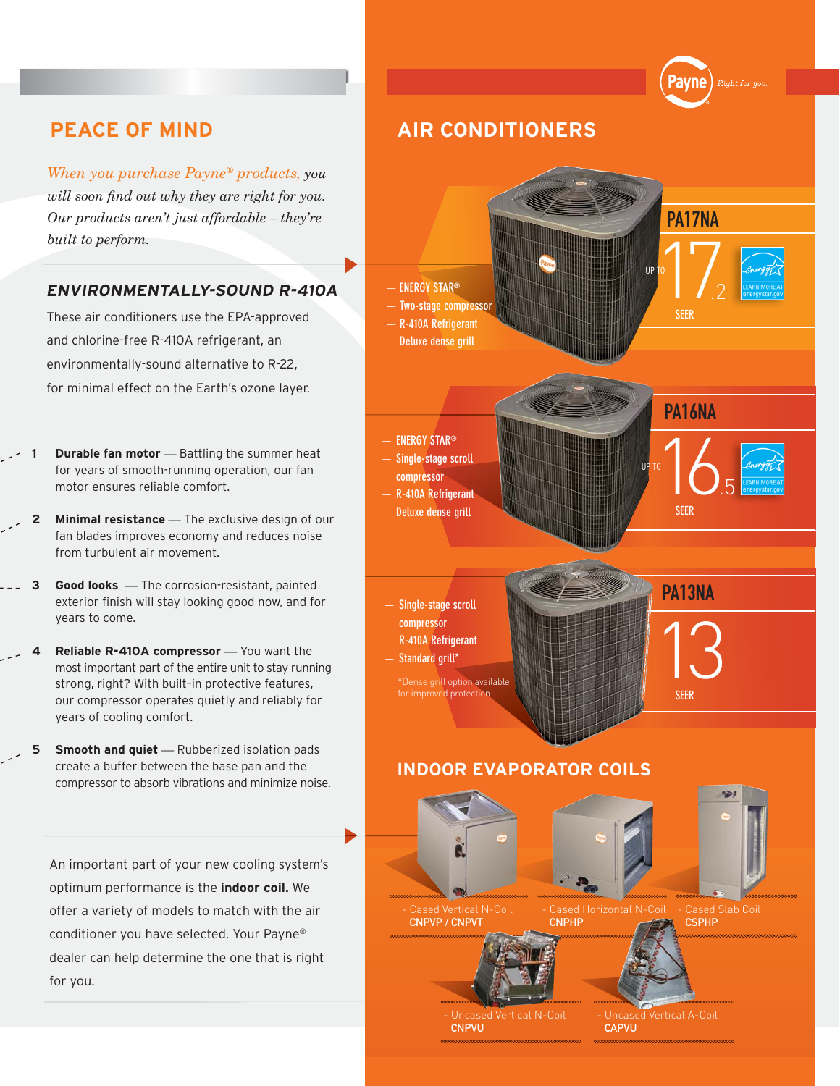*When you purchase Payne® products, you will soon find out why they are right for you. Our products aren't just affordable – they're* 

## **ENVIRONMENTALLY-SOUND R-410A**

These air conditioners use the EPA-approved and chlorine-free R-410A refrigerant, an environmentally-sound alternative to R-22, for minimal effect on the Earth's ozone layer.

- **Durable fan motor** Battling the summer heat for years of smooth-running operation, our fan motor ensures reliable comfort.
- **2** Minimal resistance The exclusive design of our fan blades improves economy and reduces noise from turbulent air movement.
- **3 Good looks** *—* The corrosion-resistant, painted exterior finish will stay looking good now, and for years to come.
- **4 Reliable R-410A compressor** You want the most important part of the entire unit to stay running strong, right? With built–in protective features, our compressor operates quietly and reliably for years of cooling comfort.
- **5 Smooth and quiet** Rubberized isolation pads create a buffer between the base pan and the compressor to absorb vibrations and minimize noise.

An important part of your new cooling system's optimum performance is the **indoor coil.** We offer a variety of models to match with the air conditioner you have selected. Your Payne® dealer can help determine the one that is right for you.

# **PEACE OF MIND AIR CONDITIONERS**



וומנו Right for